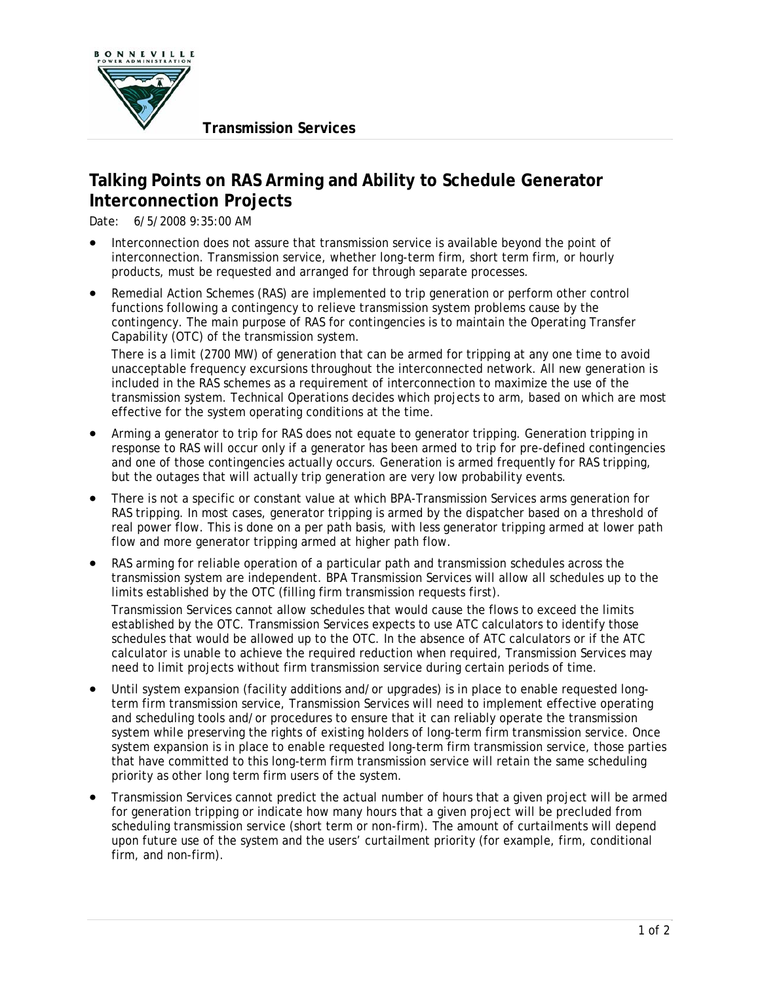

## **Talking Points on RAS Arming and Ability to Schedule Generator Interconnection Projects**

Date: 6/5/2008 9:35:00 AM

- Interconnection does not assure that transmission service is available beyond the point of interconnection. Transmission service, whether long-term firm, short term firm, or hourly products, must be requested and arranged for through separate processes.
- Remedial Action Schemes (RAS) are implemented to trip generation or perform other control functions following a contingency to relieve transmission system problems cause by the contingency. The main purpose of RAS for contingencies is to maintain the Operating Transfer Capability (OTC) of the transmission system.

There is a limit (2700 MW) of generation that can be armed for tripping at any one time to avoid unacceptable frequency excursions throughout the interconnected network. All new generation is included in the RAS schemes as a requirement of interconnection to maximize the use of the transmission system. Technical Operations decides which projects to arm, based on which are most effective for the system operating conditions at the time.

- Arming a generator to trip for RAS does not equate to generator tripping. Generation tripping in response to RAS will occur only if a generator has been armed to trip for pre-defined contingencies and one of those contingencies actually occurs. Generation is armed frequently for RAS tripping, but the outages that will actually trip generation are very low probability events.
- There is not a specific or constant value at which BPA-Transmission Services arms generation for RAS tripping. In most cases, generator tripping is armed by the dispatcher based on a threshold of real power flow. This is done on a per path basis, with less generator tripping armed at lower path flow and more generator tripping armed at higher path flow.
- RAS arming for reliable operation of a particular path and transmission schedules across the transmission system are independent. BPA Transmission Services will allow all schedules up to the limits established by the OTC (filling firm transmission requests first).

Transmission Services cannot allow schedules that would cause the flows to exceed the limits established by the OTC. Transmission Services expects to use ATC calculators to identify those schedules that would be allowed up to the OTC. In the absence of ATC calculators or if the ATC calculator is unable to achieve the required reduction when required, Transmission Services may need to limit projects without firm transmission service during certain periods of time.

- Until system expansion (facility additions and/or upgrades) is in place to enable requested longterm firm transmission service, Transmission Services will need to implement effective operating and scheduling tools and/or procedures to ensure that it can reliably operate the transmission system while preserving the rights of existing holders of long-term firm transmission service. Once system expansion is in place to enable requested long-term firm transmission service, those parties that have committed to this long-term firm transmission service will retain the same scheduling priority as other long term firm users of the system.
- Transmission Services cannot predict the actual number of hours that a given project will be armed for generation tripping or indicate how many hours that a given project will be precluded from scheduling transmission service (short term or non-firm). The amount of curtailments will depend upon future use of the system and the users' curtailment priority (for example, firm, conditional firm, and non-firm).